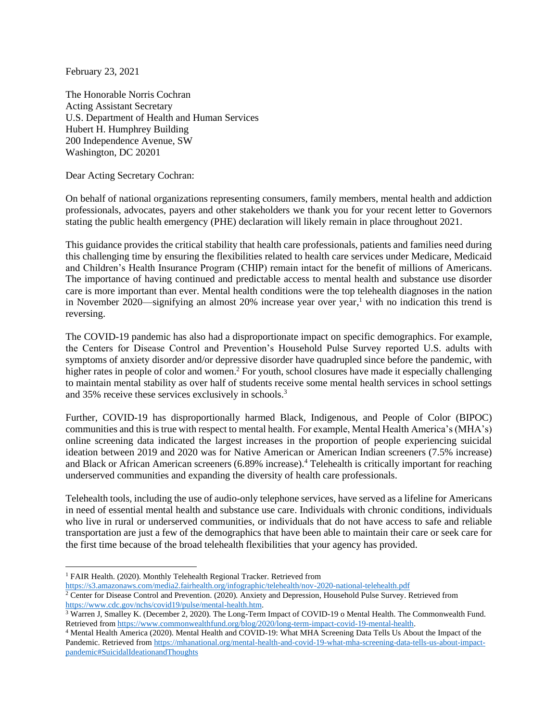February 23, 2021

The Honorable Norris Cochran Acting Assistant Secretary U.S. Department of Health and Human Services Hubert H. Humphrey Building 200 Independence Avenue, SW Washington, DC 20201

Dear Acting Secretary Cochran:

On behalf of national organizations representing consumers, family members, mental health and addiction professionals, advocates, payers and other stakeholders we thank you for your recent letter to Governors stating the public health emergency (PHE) declaration will likely remain in place throughout 2021.

This guidance provides the critical stability that health care professionals, patients and families need during this challenging time by ensuring the flexibilities related to health care services under Medicare, Medicaid and Children's Health Insurance Program (CHIP) remain intact for the benefit of millions of Americans. The importance of having continued and predictable access to mental health and substance use disorder care is more important than ever. Mental health conditions were the top telehealth diagnoses in the nation in November 2020—signifying an almost 20% increase year over year, <sup>1</sup> with no indication this trend is reversing.

The COVID-19 pandemic has also had a disproportionate impact on specific demographics. For example, the Centers for Disease Control and Prevention's Household Pulse Survey reported U.S. adults with symptoms of anxiety disorder and/or depressive disorder have quadrupled since before the pandemic, with higher rates in people of color and women.<sup>2</sup> For youth, school closures have made it especially challenging to maintain mental stability as over half of students receive some mental health services in school settings and 35% receive these services exclusively in schools.<sup>3</sup>

Further, COVID-19 has disproportionally harmed Black, Indigenous, and People of Color (BIPOC) communities and this is true with respect to mental health. For example, Mental Health America's (MHA's) online screening data indicated the largest increases in the proportion of people experiencing suicidal ideation between 2019 and 2020 was for Native American or American Indian screeners (7.5% increase) and Black or African American screeners (6.89% increase).<sup>4</sup> Telehealth is critically important for reaching underserved communities and expanding the diversity of health care professionals.

Telehealth tools, including the use of audio-only telephone services, have served as a lifeline for Americans in need of essential mental health and substance use care. Individuals with chronic conditions, individuals who live in rural or underserved communities, or individuals that do not have access to safe and reliable transportation are just a few of the demographics that have been able to maintain their care or seek care for the first time because of the broad telehealth flexibilities that your agency has provided.

<sup>&</sup>lt;sup>1</sup> FAIR Health. (2020). Monthly Telehealth Regional Tracker. Retrieved from

<https://s3.amazonaws.com/media2.fairhealth.org/infographic/telehealth/nov-2020-national-telehealth.pdf>

<sup>&</sup>lt;sup>2</sup> Center for Disease Control and Prevention. (2020). Anxiety and Depression, Household Pulse Survey. Retrieved from [https://www.cdc.gov/nchs/covid19/pulse/mental-health.htm.](https://www.cdc.gov/nchs/covid19/pulse/mental-health.htm)

<sup>&</sup>lt;sup>3</sup> Warren J, Smalley K. (December 2, 2020). The Long-Term Impact of COVID-19 o Mental Health. The Commonwealth Fund. Retrieved from [https://www.commonwealthfund.org/blog/2020/long-term-impact-covid-19-mental-health.](https://www.commonwealthfund.org/blog/2020/long-term-impact-covid-19-mental-health)

<sup>4</sup> Mental Health America (2020). Mental Health and COVID-19: What MHA Screening Data Tells Us About the Impact of the Pandemic. Retrieved from [https://mhanational.org/mental-health-and-covid-19-what-mha-screening-data-tells-us-about-impact](https://mhanational.org/mental-health-and-covid-19-what-mha-screening-data-tells-us-about-impact-pandemic#SuicidalIdeationandThoughts)[pandemic#SuicidalIdeationandThoughts](https://mhanational.org/mental-health-and-covid-19-what-mha-screening-data-tells-us-about-impact-pandemic#SuicidalIdeationandThoughts)